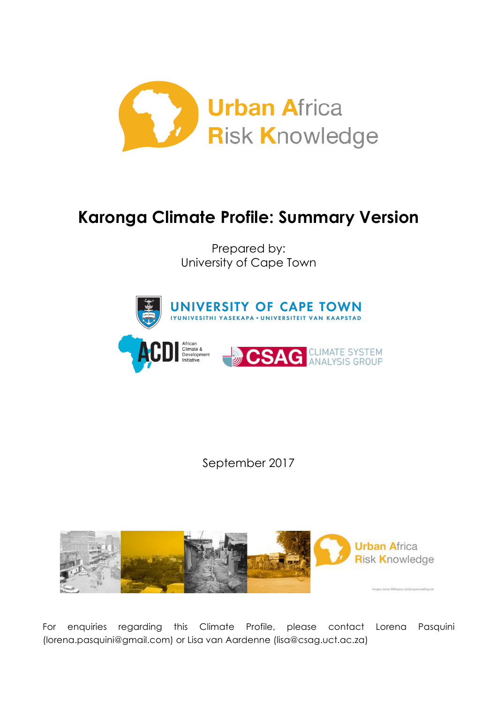

# **Karonga Climate Profile: Summary Version**

Prepared by: University of Cape Town



September 2017



For enquiries regarding this Climate Profile, please contact Lorena Pasquini (lorena.pasquini@gmail.com) or Lisa van Aardenne (lisa@csag.uct.ac.za)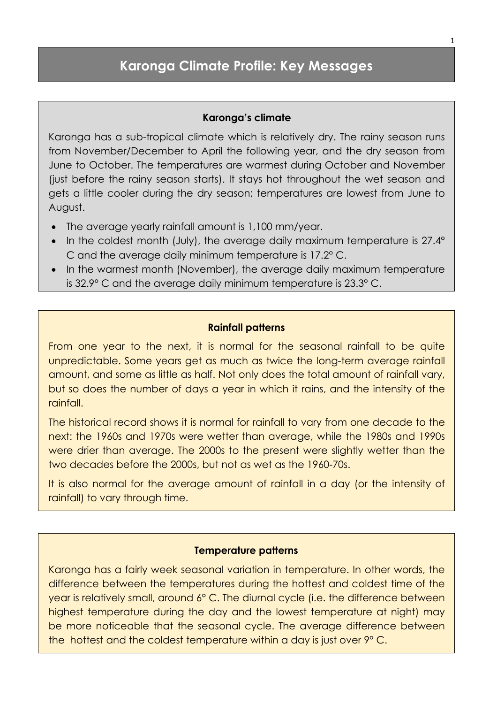## **Karonga Climate Profile: Key Messages**

#### **Karonga's climate**

Karonga has a sub-tropical climate which is relatively dry. The rainy season runs from November/December to April the following year, and the dry season from June to October. The temperatures are warmest during October and November (just before the rainy season starts). It stays hot throughout the wet season and gets a little cooler during the dry season; temperatures are lowest from June to August.

- The average yearly rainfall amount is 1,100 mm/year.
- In the coldest month (July), the average daily maximum temperature is 27.4° C and the average daily minimum temperature is 17.2° C.
- In the warmest month (November), the average daily maximum temperature is 32.9° C and the average daily minimum temperature is 23.3° C.

#### **Rainfall patterns**

From one year to the next, it is normal for the seasonal rainfall to be quite unpredictable. Some years get as much as twice the long-term average rainfall amount, and some as little as half. Not only does the total amount of rainfall vary, but so does the number of days a year in which it rains, and the intensity of the rainfall.

The historical record shows it is normal for rainfall to vary from one decade to the next: the 1960s and 1970s were wetter than average, while the 1980s and 1990s were drier than average. The 2000s to the present were slightly wetter than the two decades before the 2000s, but not as wet as the 1960-70s.

It is also normal for the average amount of rainfall in a day (or the intensity of rainfall) to vary through time.

#### **Temperature patterns**

Karonga has a fairly week seasonal variation in temperature. In other words, the difference between the temperatures during the hottest and coldest time of the year is relatively small, around 6° C. The diurnal cycle (i.e. the difference between highest temperature during the day and the lowest temperature at night) may be more noticeable that the seasonal cycle. The average difference between the hottest and the coldest temperature within a day is just over 9° C.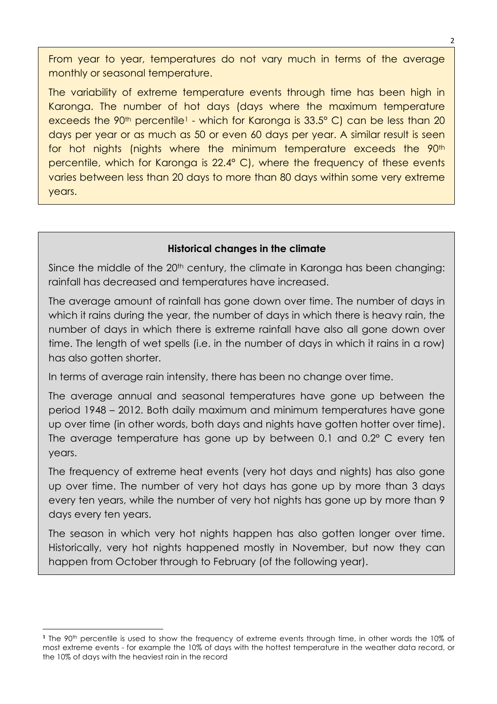From year to year, temperatures do not vary much in terms of the average monthly or seasonal temperature.

The variability of extreme temperature events through time has been high in Karonga. The number of hot days (days where the maximum temperature exceeds the 90<sup>th</sup> percentile<sup>1</sup> - which for Karonga is 33.5° C) can be less than 20 days per year or as much as 50 or even 60 days per year. A similar result is seen for hot nights (nights where the minimum temperature exceeds the 90<sup>th</sup> percentile, which for Karonga is 22.4° C), where the frequency of these events varies between less than 20 days to more than 80 days within some very extreme years.

### **Historical changes in the climate**

Since the middle of the 20<sup>th</sup> century, the climate in Karonga has been changing: rainfall has decreased and temperatures have increased.

The average amount of rainfall has gone down over time. The number of days in which it rains during the year, the number of days in which there is heavy rain, the number of days in which there is extreme rainfall have also all gone down over time. The length of wet spells (i.e. in the number of days in which it rains in a row) has also gotten shorter.

In terms of average rain intensity, there has been no change over time.

The average annual and seasonal temperatures have gone up between the period 1948 – 2012. Both daily maximum and minimum temperatures have gone up over time (in other words, both days and nights have gotten hotter over time). The average temperature has gone up by between 0.1 and 0.2° C every ten years.

The frequency of extreme heat events (very hot days and nights) has also gone up over time. The number of very hot days has gone up by more than 3 days every ten years, while the number of very hot nights has gone up by more than 9 days every ten years.

The season in which very hot nights happen has also gotten longer over time. Historically, very hot nights happened mostly in November, but now they can happen from October through to February (of the following year).

l

**<sup>1</sup>** The 90th percentile is used to show the frequency of extreme events through time, in other words the 10% of most extreme events - for example the 10% of days with the hottest temperature in the weather data record, or the 10% of days with the heaviest rain in the record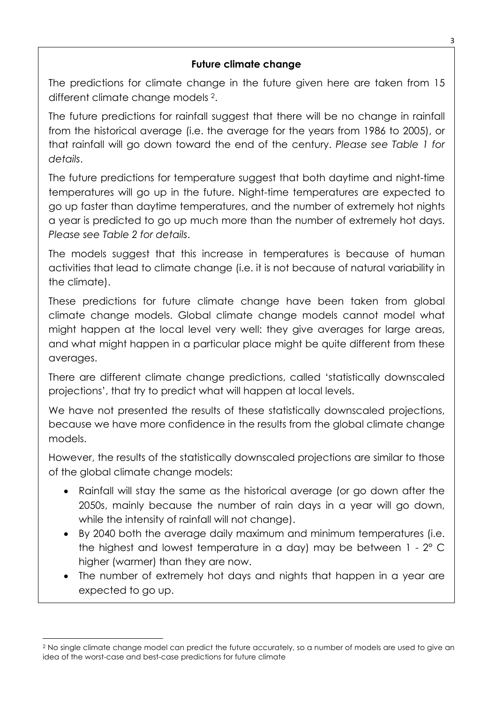### **Future climate change**

The predictions for climate change in the future given here are taken from 15 different climate change models 2.

The future predictions for rainfall suggest that there will be no change in rainfall from the historical average (i.e. the average for the years from 1986 to 2005), or that rainfall will go down toward the end of the century. *Please see Table 1 for details*.

The future predictions for temperature suggest that both daytime and night-time temperatures will go up in the future. Night-time temperatures are expected to go up faster than daytime temperatures, and the number of extremely hot nights a year is predicted to go up much more than the number of extremely hot days. *Please see Table 2 for details*.

The models suggest that this increase in temperatures is because of human activities that lead to climate change (i.e. it is not because of natural variability in the climate).

These predictions for future climate change have been taken from global climate change models. Global climate change models cannot model what might happen at the local level very well: they give averages for large areas, and what might happen in a particular place might be quite different from these averages.

There are different climate change predictions, called 'statistically downscaled projections', that try to predict what will happen at local levels.

We have not presented the results of these statistically downscaled projections, because we have more confidence in the results from the global climate change models.

However, the results of the statistically downscaled projections are similar to those of the global climate change models:

- Rainfall will stay the same as the historical average (or go down after the 2050s, mainly because the number of rain days in a year will go down, while the intensity of rainfall will not change).
- By 2040 both the average daily maximum and minimum temperatures (i.e. the highest and lowest temperature in a day) may be between 1 - 2° C higher (warmer) than they are now.
- The number of extremely hot days and nights that happen in a year are expected to go up.

l

<sup>&</sup>lt;sup>2</sup> No single climate change model can predict the future accurately, so a number of models are used to give an idea of the worst-case and best-case predictions for future climate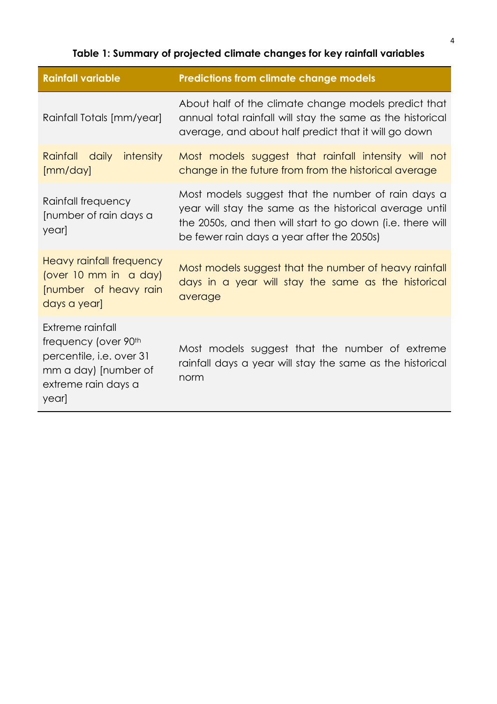# **Table 1: Summary of projected climate changes for key rainfall variables**

| <b>Rainfall variable</b>                                                                                                                 | <b>Predictions from climate change models</b>                                                                                                                                                                             |
|------------------------------------------------------------------------------------------------------------------------------------------|---------------------------------------------------------------------------------------------------------------------------------------------------------------------------------------------------------------------------|
| Rainfall Totals [mm/year]                                                                                                                | About half of the climate change models predict that<br>annual total rainfall will stay the same as the historical<br>average, and about half predict that it will go down                                                |
| Rainfall daily<br><i>intensity</i><br>[mm/day]                                                                                           | Most models suggest that rainfall intensity will not<br>change in the future from from the historical average                                                                                                             |
| Rainfall frequency<br>Inumber of rain days a<br>year]                                                                                    | Most models suggest that the number of rain days a<br>year will stay the same as the historical average until<br>the 2050s, and then will start to go down (i.e. there will<br>be fewer rain days a year after the 2050s) |
| Heavy rainfall frequency<br>(over 10 mm in a day)<br>Inumber of heavy rain<br>days a year]                                               | Most models suggest that the number of heavy rainfall<br>days in a year will stay the same as the historical<br>average                                                                                                   |
| Extreme rainfall<br>frequency (over 90 <sup>th</sup><br>percentile, i.e. over 31<br>mm a day) [number of<br>extreme rain days a<br>year] | Most models suggest that the number of extreme<br>rainfall days a year will stay the same as the historical<br>norm                                                                                                       |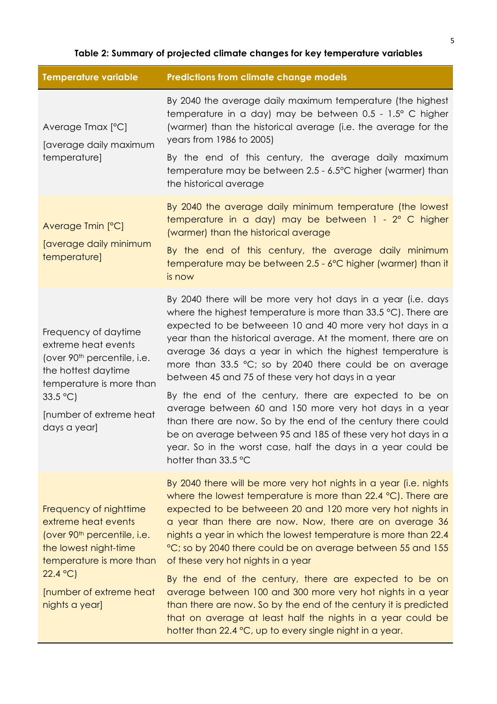## **Table 2: Summary of projected climate changes for key temperature variables**

| <b>Temperature variable</b>                                                                                                                                                                           | <b>Predictions from climate change models</b>                                                                                                                                                                                                                                                                                                                                                                                                                                                                                                                                                                                                                                                                                                                                            |
|-------------------------------------------------------------------------------------------------------------------------------------------------------------------------------------------------------|------------------------------------------------------------------------------------------------------------------------------------------------------------------------------------------------------------------------------------------------------------------------------------------------------------------------------------------------------------------------------------------------------------------------------------------------------------------------------------------------------------------------------------------------------------------------------------------------------------------------------------------------------------------------------------------------------------------------------------------------------------------------------------------|
| Average Tmax [°C]<br>[average daily maximum<br>temperature]                                                                                                                                           | By 2040 the average daily maximum temperature (the highest<br>temperature in a day) may be between 0.5 - 1.5° C higher<br>(warmer) than the historical average (i.e. the average for the<br>years from 1986 to 2005)<br>By the end of this century, the average daily maximum<br>temperature may be between 2.5 - 6.5°C higher (warmer) than<br>the historical average                                                                                                                                                                                                                                                                                                                                                                                                                   |
| Average Tmin [°C]<br>[average daily minimum<br>temperature]                                                                                                                                           | By 2040 the average daily minimum temperature (the lowest<br>temperature in a day) may be between 1 - 2° C higher<br>(warmer) than the historical average<br>By the end of this century, the average daily minimum<br>temperature may be between 2.5 - 6°C higher (warmer) than it<br>is now                                                                                                                                                                                                                                                                                                                                                                                                                                                                                             |
| Frequency of daytime<br>extreme heat events<br>(over 90 <sup>th</sup> percentile, i.e.<br>the hottest daytime<br>temperature is more than<br>33.5 °C)<br>Inumber of extreme heat<br>days a year]      | By 2040 there will be more very hot days in a year (i.e. days<br>where the highest temperature is more than 33.5 °C). There are<br>expected to be betweeen 10 and 40 more very hot days in a<br>year than the historical average. At the moment, there are on<br>average 36 days a year in which the highest temperature is<br>more than 33.5 °C; so by 2040 there could be on average<br>between 45 and 75 of these very hot days in a year<br>By the end of the century, there are expected to be on<br>average between 60 and 150 more very hot days in a year<br>than there are now. So by the end of the century there could<br>be on average between 95 and 185 of these very hot days in a<br>year. So in the worst case, half the days in a year could be<br>hotter than 33.5 °C |
| Frequency of nighttime<br>extreme heat events<br>(over 90 <sup>th</sup> percentile, i.e.<br>the lowest night-time<br>temperature is more than<br>22.4 °C<br>Inumber of extreme heat<br>nights a year] | By 2040 there will be more very hot nights in a year (i.e. nights<br>where the lowest temperature is more than $22.4 \text{ }^{\circ}\text{C}$ . There are<br>expected to be betweeen 20 and 120 more very hot nights in<br>a year than there are now. Now, there are on average 36<br>nights a year in which the lowest temperature is more than 22.4<br>°C; so by 2040 there could be on average between 55 and 155<br>of these very hot nights in a year<br>By the end of the century, there are expected to be on<br>average between 100 and 300 more very hot nights in a year<br>than there are now. So by the end of the century it is predicted<br>that on average at least half the nights in a year could be<br>hotter than 22.4 °C, up to every single night in a year.       |